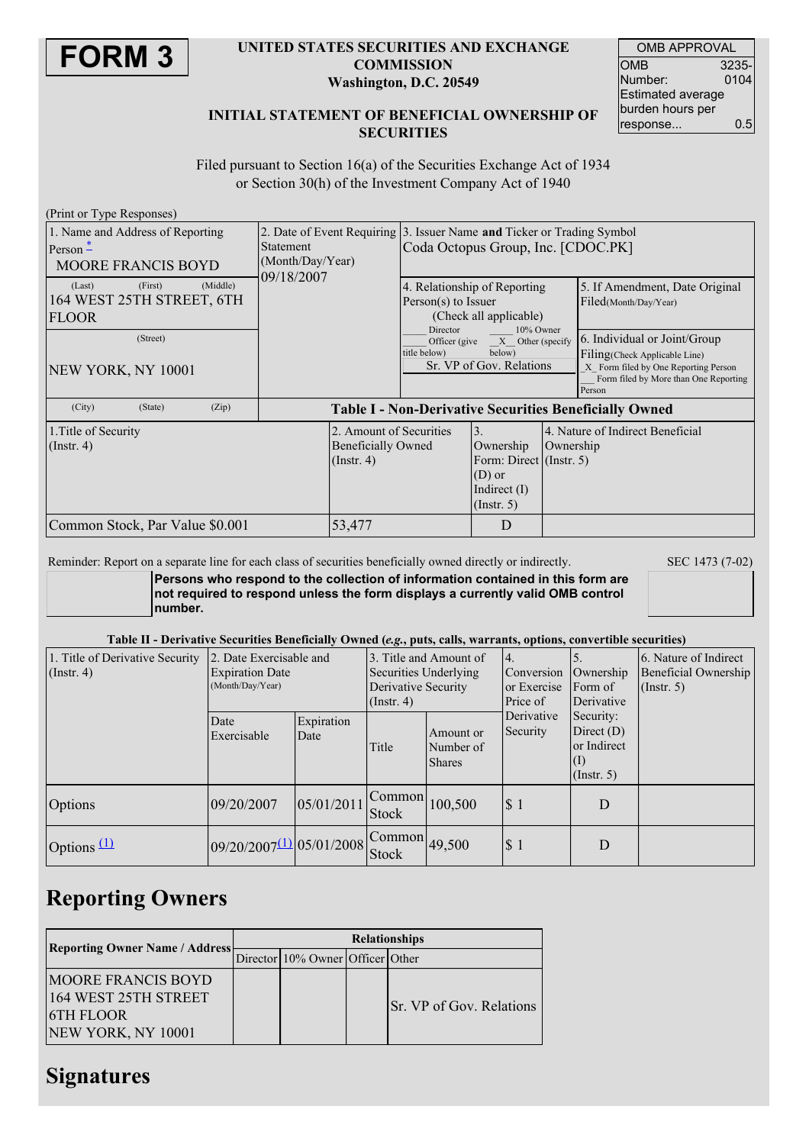

#### **UNITED STATES SECURITIES AND EXCHANGE COMMISSION Washington, D.C. 20549**

| <b>OMB APPROVAL</b>      |       |  |  |  |
|--------------------------|-------|--|--|--|
| OMB                      | 3235- |  |  |  |
| Number:                  | 0104  |  |  |  |
| <b>Estimated average</b> |       |  |  |  |
| burden hours per         |       |  |  |  |
| response                 | 0.5   |  |  |  |

### **INITIAL STATEMENT OF BENEFICIAL OWNERSHIP OF SECURITIES**

Filed pursuant to Section 16(a) of the Securities Exchange Act of 1934 or Section 30(h) of the Investment Company Act of 1940

| (Print or Type Responses)                                                   |                                                               |                                                                                                              |                                                                      |                                                                          |                                                                                                                                                           |
|-----------------------------------------------------------------------------|---------------------------------------------------------------|--------------------------------------------------------------------------------------------------------------|----------------------------------------------------------------------|--------------------------------------------------------------------------|-----------------------------------------------------------------------------------------------------------------------------------------------------------|
| 1. Name and Address of Reporting<br>Person $-$<br><b>MOORE FRANCIS BOYD</b> | <b>Statement</b><br>(Month/Day/Year)<br>09/18/2007            | 2. Date of Event Requiring 3. Issuer Name and Ticker or Trading Symbol<br>Coda Octopus Group, Inc. [CDOC.PK] |                                                                      |                                                                          |                                                                                                                                                           |
| (Middle)<br>(First)<br>(Last)<br>164 WEST 25TH STREET, 6TH<br><b>FLOOR</b>  |                                                               | 4. Relationship of Reporting<br>Person(s) to Issuer<br>(Check all applicable)<br>10% Owner                   |                                                                      |                                                                          | 5. If Amendment, Date Original<br>Filed(Month/Day/Year)                                                                                                   |
| (Street)<br>NEW YORK, NY 10001                                              |                                                               | Director<br>title below)                                                                                     | Officer (give X Other (specify<br>below)<br>Sr. VP of Gov. Relations |                                                                          | 6. Individual or Joint/Group<br>Filing (Check Applicable Line)<br>X Form filed by One Reporting Person<br>Form filed by More than One Reporting<br>Person |
| (City)<br>(State)<br>(Zip)                                                  | <b>Table I - Non-Derivative Securities Beneficially Owned</b> |                                                                                                              |                                                                      |                                                                          |                                                                                                                                                           |
| 1. Title of Security<br>$($ Instr. 4 $)$                                    | $($ Instr. 4 $)$                                              | 2. Amount of Securities<br>$\overline{3}$ .<br>Beneficially Owned                                            |                                                                      | 4. Nature of Indirect Beneficial<br>Ownership<br>Form: Direct (Instr. 5) |                                                                                                                                                           |
| Common Stock, Par Value \$0.001<br>53,477                                   |                                                               |                                                                                                              | D                                                                    |                                                                          |                                                                                                                                                           |

Reminder: Report on a separate line for each class of securities beneficially owned directly or indirectly. SEC 1473 (7-02)

**Persons who respond to the collection of information contained in this form are not required to respond unless the form displays a currently valid OMB control number.**

#### Table II - Derivative Securities Beneficially Owned (e.g., puts, calls, warrants, options, convertible securities)

| 1. Title of Derivative Security<br>$($ Instr. 4 $)$ | 2. Date Exercisable and<br><b>Expiration Date</b><br>(Month/Day/Year) |                    | Derivative Security<br>$($ Instr. 4 $)$ | 3. Title and Amount of<br>Securities Underlying<br>Conversion<br>or Exercise<br>Price of |                                                                                                      | Ownership<br>Form of<br>Derivative | 6. Nature of Indirect<br>Beneficial Ownership<br>(Insert. 5) |
|-----------------------------------------------------|-----------------------------------------------------------------------|--------------------|-----------------------------------------|------------------------------------------------------------------------------------------|------------------------------------------------------------------------------------------------------|------------------------------------|--------------------------------------------------------------|
|                                                     | Date<br>Exercisable                                                   | Expiration<br>Date | Title                                   | Amount or<br>Number of<br><b>Shares</b>                                                  | Derivative<br>Security:<br>Security<br>Direct $(D)$<br>or Indirect<br>$\vert(1)$<br>$($ Instr. 5 $)$ |                                    |                                                              |
| Options                                             | 09/20/2007                                                            | 05/01/2011         | Common<br><b>Stock</b>                  | 100,500                                                                                  | \$1                                                                                                  | D                                  |                                                              |
| Options $(1)$                                       | $09/20/2007(1) 05/01/2008$ Common                                     |                    | <b>Stock</b>                            | 49,500                                                                                   | \$1                                                                                                  | D                                  |                                                              |

## **Reporting Owners**

| <b>Reporting Owner Name / Address</b>                                                       | <b>Relationships</b> |                                  |  |                                 |  |
|---------------------------------------------------------------------------------------------|----------------------|----------------------------------|--|---------------------------------|--|
|                                                                                             |                      | Director 10% Owner Officer Other |  |                                 |  |
| <b>MOORE FRANCIS BOYD</b><br>164 WEST 25TH STREET<br><b>6TH FLOOR</b><br>NEW YORK, NY 10001 |                      |                                  |  | <b>Sr.</b> VP of Gov. Relations |  |

## **Signatures**